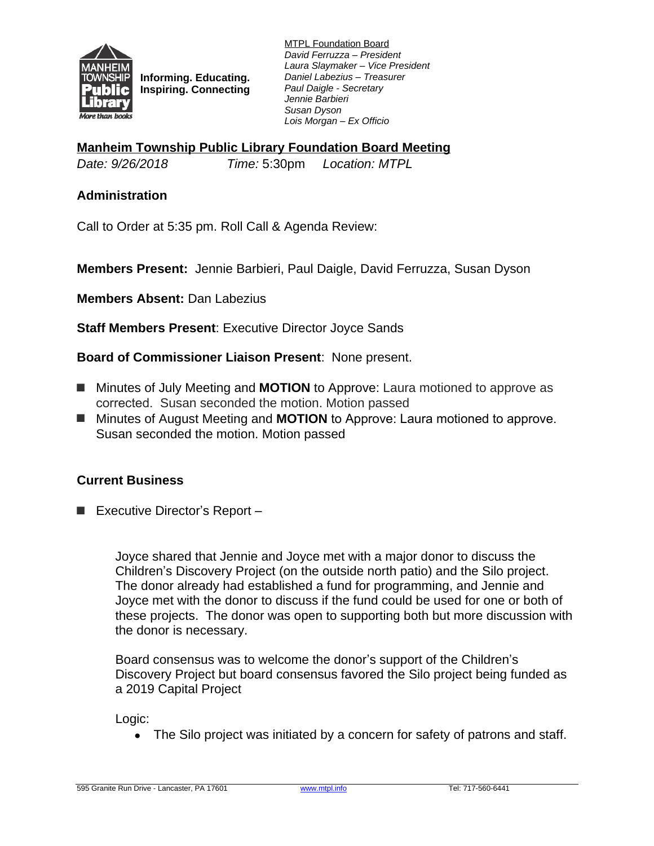

**Informing. Educating. Inspiring. Connecting** MTPL Foundation Board *David Ferruzza – President Laura Slaymaker – Vice President Daniel Labezius – Treasurer Paul Daigle - Secretary Jennie Barbieri Susan Dyson Lois Morgan – Ex Officio*

**Manheim Township Public Library Foundation Board Meeting**

*Date: 9/26/2018 Time:* 5:30pm *Location: MTPL*

## **Administration**

Call to Order at 5:35 pm. Roll Call & Agenda Review:

**Members Present:** Jennie Barbieri, Paul Daigle, David Ferruzza, Susan Dyson

**Members Absent:** Dan Labezius

**Staff Members Present**: Executive Director Joyce Sands

**Board of Commissioner Liaison Present**: None present.

- Minutes of July Meeting and **MOTION** to Approve: Laura motioned to approve as corrected. Susan seconded the motion. Motion passed
- Minutes of August Meeting and **MOTION** to Approve: Laura motioned to approve. Susan seconded the motion. Motion passed

## **Current Business**

■ Executive Director's Report –

Joyce shared that Jennie and Joyce met with a major donor to discuss the Children's Discovery Project (on the outside north patio) and the Silo project. The donor already had established a fund for programming, and Jennie and Joyce met with the donor to discuss if the fund could be used for one or both of these projects. The donor was open to supporting both but more discussion with the donor is necessary.

Board consensus was to welcome the donor's support of the Children's Discovery Project but board consensus favored the Silo project being funded as a 2019 Capital Project

Logic:

• The Silo project was initiated by a concern for safety of patrons and staff.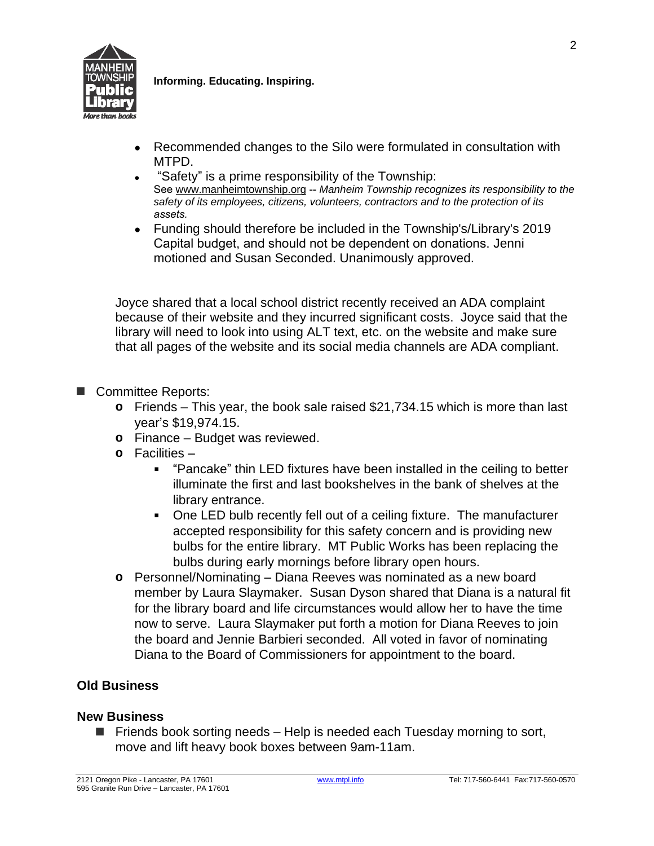

**Informing. Educating. Inspiring.**

- Recommended changes to the Silo were formulated in consultation with MTPD.
- "Safety" is a prime responsibility of the Township: See [www.manheimtownship.org](http://www.manheimtownship.org/) -- *Manheim Township recognizes its responsibility to the safety of its employees, citizens, volunteers, contractors and to the protection of its assets.*
- Funding should therefore be included in the Township's/Library's 2019 Capital budget, and should not be dependent on donations. Jenni motioned and Susan Seconded. Unanimously approved.

Joyce shared that a local school district recently received an ADA complaint because of their website and they incurred significant costs. Joyce said that the library will need to look into using ALT text, etc. on the website and make sure that all pages of the website and its social media channels are ADA compliant.

- Committee Reports:
	- **o** Friends This year, the book sale raised \$21,734.15 which is more than last year's \$19,974.15.
	- **o** Finance Budget was reviewed.
	- **o** Facilities
		- "Pancake" thin LED fixtures have been installed in the ceiling to better illuminate the first and last bookshelves in the bank of shelves at the library entrance.
		- One LED bulb recently fell out of a ceiling fixture. The manufacturer accepted responsibility for this safety concern and is providing new bulbs for the entire library. MT Public Works has been replacing the bulbs during early mornings before library open hours.
	- **o** Personnel/Nominating Diana Reeves was nominated as a new board member by Laura Slaymaker. Susan Dyson shared that Diana is a natural fit for the library board and life circumstances would allow her to have the time now to serve. Laura Slaymaker put forth a motion for Diana Reeves to join the board and Jennie Barbieri seconded. All voted in favor of nominating Diana to the Board of Commissioners for appointment to the board.

## **Old Business**

## **New Business**

■ Friends book sorting needs – Help is needed each Tuesday morning to sort, move and lift heavy book boxes between 9am-11am.